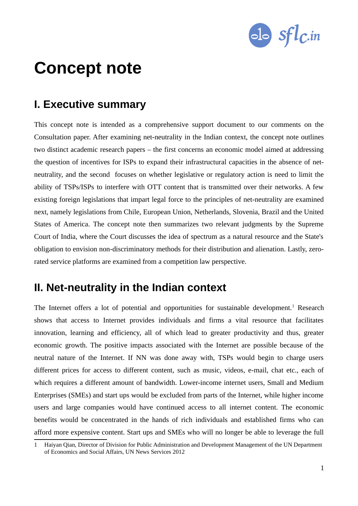

# **Concept note**

# **I. Executive summary**

This concept note is intended as a comprehensive support document to our comments on the Consultation paper. After examining net-neutrality in the Indian context, the concept note outlines two distinct academic research papers – the first concerns an economic model aimed at addressing the question of incentives for ISPs to expand their infrastructural capacities in the absence of netneutrality, and the second focuses on whether legislative or regulatory action is need to limit the ability of TSPs/ISPs to interfere with OTT content that is transmitted over their networks. A few existing foreign legislations that impart legal force to the principles of net-neutrality are examined next, namely legislations from Chile, European Union, Netherlands, Slovenia, Brazil and the United States of America. The concept note then summarizes two relevant judgments by the Supreme Court of India, where the Court discusses the idea of spectrum as a natural resource and the State's obligation to envision non-discriminatory methods for their distribution and alienation. Lastly, zerorated service platforms are examined from a competition law perspective.

# **II. Net-neutrality in the Indian context**

The Internet offers a lot of potential and opportunities for sustainable development.<sup>[1](#page-0-0)</sup> Research shows that access to Internet provides individuals and firms a vital resource that facilitates innovation, learning and efficiency, all of which lead to greater productivity and thus, greater economic growth. The positive impacts associated with the Internet are possible because of the neutral nature of the Internet. If NN was done away with, TSPs would begin to charge users different prices for access to different content, such as music, videos, e-mail, chat etc., each of which requires a different amount of bandwidth. Lower-income internet users, Small and Medium Enterprises (SMEs) and start ups would be excluded from parts of the Internet, while higher income users and large companies would have continued access to all internet content. The economic benefits would be concentrated in the hands of rich individuals and established firms who can afford more expensive content. Start ups and SMEs who will no longer be able to leverage the full

<span id="page-0-0"></span><sup>1</sup> Haiyan Qian, Director of Division for Public Administration and Development Management of the UN Department of Economics and Social Affairs, UN News Services 2012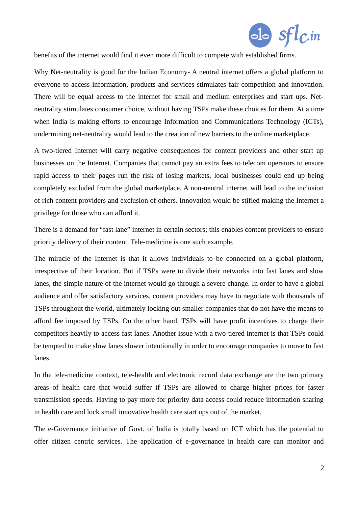

benefits of the internet would find it even more difficult to compete with established firms.

Why Net-neutrality is good for the Indian Economy- A neutral internet offers a global platform to everyone to access information, products and services stimulates fair competition and innovation. There will be equal access to the internet for small and medium enterprises and start ups. Netneutrality stimulates consumer choice, without having TSPs make these choices for them. At a time when India is making efforts to encourage Information and Communications Technology (ICTs), undermining net-neutrality would lead to the creation of new barriers to the online marketplace.

A two-tiered Internet will carry negative consequences for content providers and other start up businesses on the Internet. Companies that cannot pay an extra fees to telecom operators to ensure rapid access to their pages run the risk of losing markets, local businesses could end up being completely excluded from the global marketplace. A non-neutral internet will lead to the inclusion of rich content providers and exclusion of others. Innovation would be stifled making the Internet a privilege for those who can afford it.

There is a demand for "fast lane" internet in certain sectors; this enables content providers to ensure priority delivery of their content. Tele-medicine is one such example.

The miracle of the Internet is that it allows individuals to be connected on a global platform, irrespective of their location. But if TSPs were to divide their networks into fast lanes and slow lanes, the simple nature of the internet would go through a severe change. In order to have a global audience and offer satisfactory services, content providers may have to negotiate with thousands of TSPs throughout the world, ultimately locking out smaller companies that do not have the means to afford fee imposed by TSPs. On the other hand, TSPs will have profit incentives to charge their competitors heavily to access fast lanes. Another issue with a two-tiered internet is that TSPs could be tempted to make slow lanes slower intentionally in order to encourage companies to move to fast lanes.

In the tele-medicine context, tele-health and electronic record data exchange are the two primary areas of health care that would suffer if TSPs are allowed to charge higher prices for faster transmission speeds. Having to pay more for priority data access could reduce information sharing in health care and lock small innovative health care start ups out of the market.

The e-Governance initiative of Govt. of India is totally based on ICT which has the potential to offer citizen centric services. The application of e-governance in health care can monitor and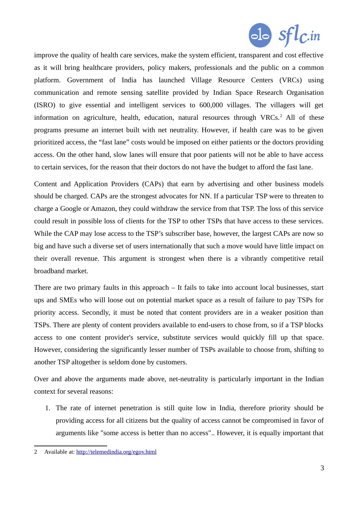

improve the quality of health care services, make the system efficient, transparent and cost effective as it will bring healthcare providers, policy makers, professionals and the public on a common platform. Government of India has launched Village Resource Centers (VRCs) using communication and remote sensing satellite provided by Indian Space Research Organisation (ISRO) to give essential and intelligent services to 600,000 villages. The villagers will get information on agriculture, health, education, natural resources through VRCs.<sup>[2](#page-2-0)</sup> All of these programs presume an internet built with net neutrality. However, if health care was to be given prioritized access, the "fast lane" costs would be imposed on either patients or the doctors providing access. On the other hand, slow lanes will ensure that poor patients will not be able to have access to certain services, for the reason that their doctors do not have the budget to afford the fast lane.

Content and Application Providers (CAPs) that earn by advertising and other business models should be charged. CAPs are the strongest advocates for NN. If a particular TSP were to threaten to charge a Google or Amazon, they could withdraw the service from that TSP. The loss of this service could result in possible loss of clients for the TSP to other TSPs that have access to these services. While the CAP may lose access to the TSP's subscriber base, however, the largest CAPs are now so big and have such a diverse set of users internationally that such a move would have little impact on their overall revenue. This argument is strongest when there is a vibrantly competitive retail broadband market.

There are two primary faults in this approach – It fails to take into account local businesses, start ups and SMEs who will loose out on potential market space as a result of failure to pay TSPs for priority access. Secondly, it must be noted that content providers are in a weaker position than TSPs. There are plenty of content providers available to end-users to chose from, so if a TSP blocks access to one content provider's service, substitute services would quickly fill up that space. However, considering the significantly lesser number of TSPs available to choose from, shifting to another TSP altogether is seldom done by customers.

Over and above the arguments made above, net-neutrality is particularly important in the Indian context for several reasons:

1. The rate of internet penetration is still quite low in India, therefore priority should be providing access for all citizens but the quality of access cannot be compromised in favor of arguments like "some access is better than no access".. However, it is equally important that

<span id="page-2-0"></span><sup>2</sup> Available at:<http://telemedindia.org/egov.html>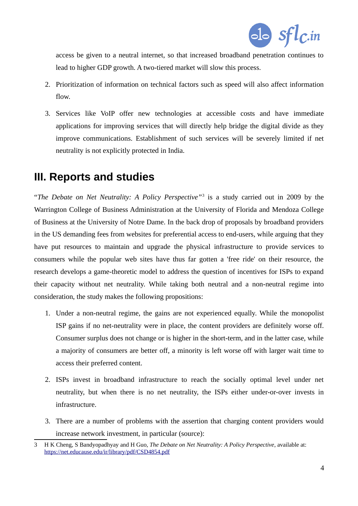

access be given to a neutral internet, so that increased broadband penetration continues to lead to higher GDP growth. A two-tiered market will slow this process.

- 2. Prioritization of information on technical factors such as speed will also affect information flow.
- 3. Services like VoIP offer new technologies at accessible costs and have immediate applications for improving services that will directly help bridge the digital divide as they improve communications. Establishment of such services will be severely limited if net neutrality is not explicitly protected in India.

# **III. Reports and studies**

"*The Debate on Net Neutrality: A Policy Perspective"*[3](#page-3-0) is a study carried out in 2009 by the Warrington College of Business Administration at the University of Florida and Mendoza College of Business at the University of Notre Dame. In the back drop of proposals by broadband providers in the US demanding fees from websites for preferential access to end-users, while arguing that they have put resources to maintain and upgrade the physical infrastructure to provide services to consumers while the popular web sites have thus far gotten a 'free ride' on their resource, the research develops a game-theoretic model to address the question of incentives for ISPs to expand their capacity without net neutrality. While taking both neutral and a non-neutral regime into consideration, the study makes the following propositions:

- 1. Under a non-neutral regime, the gains are not experienced equally. While the monopolist ISP gains if no net-neutrality were in place, the content providers are definitely worse off. Consumer surplus does not change or is higher in the short-term, and in the latter case, while a majority of consumers are better off, a minority is left worse off with larger wait time to access their preferred content.
- 2. ISPs invest in broadband infrastructure to reach the socially optimal level under net neutrality, but when there is no net neutrality, the ISPs either under-or-over invests in infrastructure.
- 3. There are a number of problems with the assertion that charging content providers would increase network investment, in particular (source):

<span id="page-3-0"></span><sup>3</sup> H K Cheng, S Bandyopadhyay and H Guo, *The Debate on Net Neutrality: A Policy Perspective*, available at: <https://net.educause.edu/ir/library/pdf/CSD4854.pdf>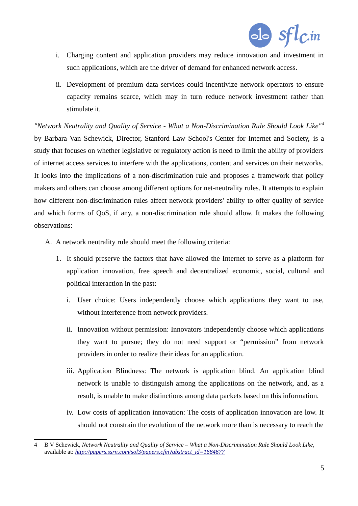

- i. Charging content and application providers may reduce innovation and investment in such applications, which are the driver of demand for enhanced network access.
- ii. Development of premium data services could incentivize network operators to ensure capacity remains scarce, which may in turn reduce network investment rather than stimulate it.

*"Network Neutrality and Quality of Service - What a Non-Discrimination Rule Should Look Like" [4](#page-4-0)* by Barbara Van Schewick, Director, Stanford Law School's Center for Internet and Society, is a study that focuses on whether legislative or regulatory action is need to limit the ability of providers of internet access services to interfere with the applications, content and services on their networks. It looks into the implications of a non-discrimination rule and proposes a framework that policy makers and others can choose among different options for net-neutrality rules. It attempts to explain how different non-discrimination rules affect network providers' ability to offer quality of service and which forms of QoS, if any, a non-discrimination rule should allow. It makes the following observations:

- A. A network neutrality rule should meet the following criteria:
	- 1. It should preserve the factors that have allowed the Internet to serve as a platform for application innovation, free speech and decentralized economic, social, cultural and political interaction in the past:
		- i. User choice: Users independently choose which applications they want to use, without interference from network providers.
		- ii. Innovation without permission: Innovators independently choose which applications they want to pursue; they do not need support or "permission" from network providers in order to realize their ideas for an application.
		- iii. Application Blindness: The network is application blind. An application blind network is unable to distinguish among the applications on the network, and, as a result, is unable to make distinctions among data packets based on this information.
		- iv. Low costs of application innovation: The costs of application innovation are low. It should not constrain the evolution of the network more than is necessary to reach the

<span id="page-4-0"></span><sup>4</sup> B V Schewick, *Network Neutrality and Quality of Service – What a Non-Discrimination Rule Should Look Like*, available at: *[http://papers.ssrn.com/sol3/papers.cfm?abstract\\_id=1684677](http://papers.ssrn.com/sol3/papers.cfm?abstract_id=1684677)*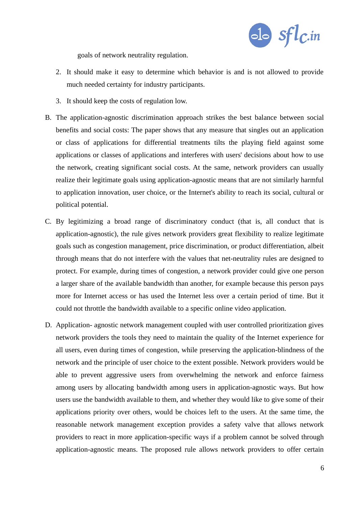

goals of network neutrality regulation.

- 2. It should make it easy to determine which behavior is and is not allowed to provide much needed certainty for industry participants.
- 3. It should keep the costs of regulation low.
- B. The application-agnostic discrimination approach strikes the best balance between social benefits and social costs: The paper shows that any measure that singles out an application or class of applications for differential treatments tilts the playing field against some applications or classes of applications and interferes with users' decisions about how to use the network, creating significant social costs. At the same, network providers can usually realize their legitimate goals using application-agnostic means that are not similarly harmful to application innovation, user choice, or the Internet's ability to reach its social, cultural or political potential.
- C. By legitimizing a broad range of discriminatory conduct (that is, all conduct that is application-agnostic), the rule gives network providers great flexibility to realize legitimate goals such as congestion management, price discrimination, or product differentiation, albeit through means that do not interfere with the values that net-neutrality rules are designed to protect. For example, during times of congestion, a network provider could give one person a larger share of the available bandwidth than another, for example because this person pays more for Internet access or has used the Internet less over a certain period of time. But it could not throttle the bandwidth available to a specific online video application.
- D. Application- agnostic network management coupled with user controlled prioritization gives network providers the tools they need to maintain the quality of the Internet experience for all users, even during times of congestion, while preserving the application-blindness of the network and the principle of user choice to the extent possible. Network providers would be able to prevent aggressive users from overwhelming the network and enforce fairness among users by allocating bandwidth among users in application-agnostic ways. But how users use the bandwidth available to them, and whether they would like to give some of their applications priority over others, would be choices left to the users. At the same time, the reasonable network management exception provides a safety valve that allows network providers to react in more application-specific ways if a problem cannot be solved through application-agnostic means. The proposed rule allows network providers to offer certain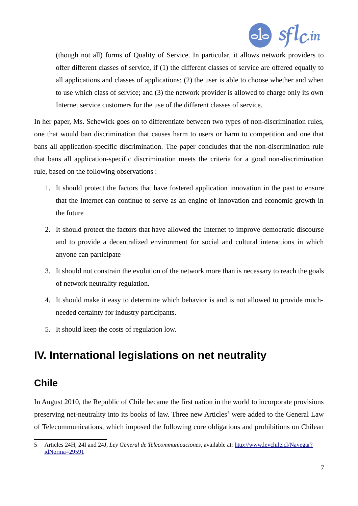

(though not all) forms of Quality of Service. In particular, it allows network providers to offer different classes of service, if (1) the different classes of service are offered equally to all applications and classes of applications; (2) the user is able to choose whether and when to use which class of service; and (3) the network provider is allowed to charge only its own Internet service customers for the use of the different classes of service.

In her paper, Ms. Schewick goes on to differentiate between two types of non-discrimination rules, one that would ban discrimination that causes harm to users or harm to competition and one that bans all application-specific discrimination. The paper concludes that the non-discrimination rule that bans all application-specific discrimination meets the criteria for a good non-discrimination rule, based on the following observations :

- 1. It should protect the factors that have fostered application innovation in the past to ensure that the Internet can continue to serve as an engine of innovation and economic growth in the future
- 2. It should protect the factors that have allowed the Internet to improve democratic discourse and to provide a decentralized environment for social and cultural interactions in which anyone can participate
- 3. It should not constrain the evolution of the network more than is necessary to reach the goals of network neutrality regulation.
- 4. It should make it easy to determine which behavior is and is not allowed to provide muchneeded certainty for industry participants.
- 5. It should keep the costs of regulation low.

# **IV. International legislations on net neutrality**

### **Chile**

In August 2010, the Republic of Chile became the first nation in the world to incorporate provisions preserving net-neutrality into its books of law. Three new Articles<sup>[5](#page-6-0)</sup> were added to the General Law of Telecommunications, which imposed the following core obligations and prohibitions on Chilean

<span id="page-6-0"></span><sup>5</sup> Articles 24H, 24I and 24J, *Ley General de Telecommunicaciones*, available at: [http://www.leychile.cl/Navegar?](http://www.leychile.cl/Navegar?idNorma=29591) [idNorma=29591](http://www.leychile.cl/Navegar?idNorma=29591)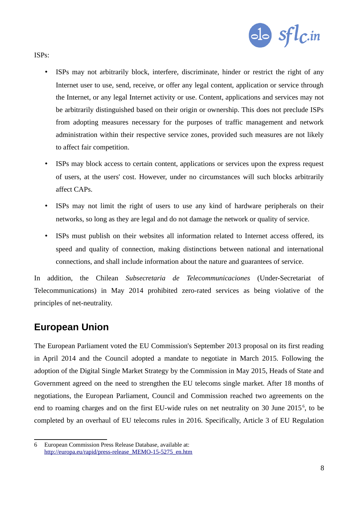

ISPs:

- ISPs may not arbitrarily block, interfere, discriminate, hinder or restrict the right of any Internet user to use, send, receive, or offer any legal content, application or service through the Internet, or any legal Internet activity or use. Content, applications and services may not be arbitrarily distinguished based on their origin or ownership. This does not preclude ISPs from adopting measures necessary for the purposes of traffic management and network administration within their respective service zones, provided such measures are not likely to affect fair competition.
- ISPs may block access to certain content, applications or services upon the express request of users, at the users' cost. However, under no circumstances will such blocks arbitrarily affect CAPs.
- ISPs may not limit the right of users to use any kind of hardware peripherals on their networks, so long as they are legal and do not damage the network or quality of service.
- ISPs must publish on their websites all information related to Internet access offered, its speed and quality of connection, making distinctions between national and international connections, and shall include information about the nature and guarantees of service.

In addition, the Chilean *Subsecretaria de Telecommunicaciones* (Under-Secretariat of Telecommunications) in May 2014 prohibited zero-rated services as being violative of the principles of net-neutrality.

### **European Union**

The European Parliament voted the EU Commission's September 2013 proposal on its first reading in April 2014 and the Council adopted a mandate to negotiate in March 2015. Following the adoption of the Digital Single Market Strategy by the Commission in May 2015, Heads of State and Government agreed on the need to strengthen the EU telecoms single market. After 18 months of negotiations, the European Parliament, Council and Commission reached two agreements on the end to roaming charges and on the first EU-wide rules on net neutrality on 30 June  $2015^{\circ}$ , to be completed by an overhaul of EU telecoms rules in 2016. Specifically, Article 3 of EU Regulation

<span id="page-7-0"></span><sup>6</sup> European Commission Press Release Database, available at: [http://europa.eu/rapid/press-release\\_MEMO-15-5275\\_en.htm](http://europa.eu/rapid/press-release_MEMO-15-5275_en.htm)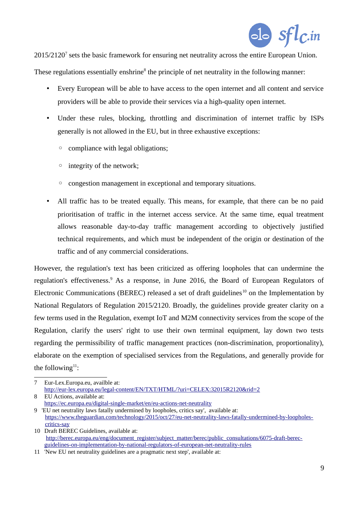

2015/2120<sup>[7](#page-8-0)</sup> sets the basic framework for ensuring net neutrality across the entire European Union.

These regulations essentially enshrine<sup>[8](#page-8-1)</sup> the principle of net neutrality in the following manner:

- Every European will be able to have access to the open internet and all content and service providers will be able to provide their services via a high-quality open internet.
- Under these rules, blocking, throttling and discrimination of internet traffic by ISPs generally is not allowed in the EU, but in three exhaustive exceptions:
	- compliance with legal obligations;
	- integrity of the network;
	- congestion management in exceptional and temporary situations.
- All traffic has to be treated equally. This means, for example, that there can be no paid prioritisation of traffic in the internet access service. At the same time, equal treatment allows reasonable day-to-day traffic management according to objectively justified technical requirements, and which must be independent of the origin or destination of the traffic and of any commercial considerations.

However, the regulation's text has been criticized as offering loopholes that can undermine the regulation's effectiveness.<sup>[9](#page-8-2)</sup> As a response, in June 2016, the Board of European Regulators of Electronic Communications (BEREC) released a set of draft guidelines<sup>[10](#page-8-3)</sup> on the Implementation by National Regulators of Regulation 2015/2120. Broadly, the guidelines provide greater clarity on a few terms used in the Regulation, exempt IoT and M2M connectivity services from the scope of the Regulation, clarify the users' right to use their own terminal equipment, lay down two tests regarding the permissibility of traffic management practices (non-discrimination, proportionality), elaborate on the exemption of specialised services from the Regulations, and generally provide for the following $11$ :

- <span id="page-8-1"></span>8 EU Actions, available at:
- <https://ec.europa.eu/digital-single-market/en/eu-actions-net-neutrality>

<span id="page-8-3"></span>10 Draft BEREC Guidelines, available at: [http://berec.europa.eu/eng/document\\_register/subject\\_matter/berec/public\\_consultations/6075-draft-berec](http://berec.europa.eu/eng/document_register/subject_matter/berec/public_consultations/6075-draft-berec-guidelines-on-implementation-by-national-regulators-of-european-net-neutrality-rules)[guidelines-on-implementation-by-national-regulators-of-european-net-neutrality-rules](http://berec.europa.eu/eng/document_register/subject_matter/berec/public_consultations/6075-draft-berec-guidelines-on-implementation-by-national-regulators-of-european-net-neutrality-rules)

<span id="page-8-0"></span><sup>7</sup> Eur-Lex.Europa.eu, availble at: <http://eur-lex.europa.eu/legal-content/EN/TXT/HTML/?uri=CELEX:32015R2120&rid=2>

<span id="page-8-2"></span><sup>9 &#</sup>x27;EU net neutrality laws fatally undermined by loopholes, critics say', available at: [https://www.theguardian.com/technology/2015/oct/27/eu-net-neutrality-laws-fatally-undermined-by-loopholes](https://www.theguardian.com/technology/2015/oct/27/eu-net-neutrality-laws-fatally-undermined-by-loopholes-)[critics-say](https://www.theguardian.com/technology/2015/oct/27/eu-net-neutrality-laws-fatally-undermined-by-loopholes-critics-say)

<span id="page-8-4"></span><sup>11</sup> 'New EU net neutrality guidelines are a pragmatic next step', available at: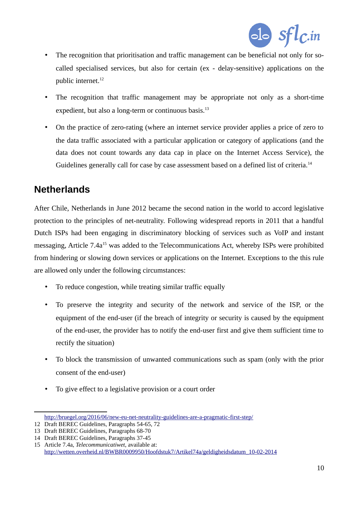

- The recognition that prioritisation and traffic management can be beneficial not only for socalled specialised services, but also for certain (ex - delay-sensitive) applications on the public internet.<sup>[12](#page-9-0)</sup>
- The recognition that traffic management may be appropriate not only as a short-time expedient, but also a long-term or continuous basis. $^{13}$  $^{13}$  $^{13}$
- On the practice of zero-rating (where an internet service provider applies a price of zero to the data traffic associated with a particular application or category of applications (and the data does not count towards any data cap in place on the Internet Access Service), the Guidelines generally call for case by case assessment based on a defined list of criteria.<sup>[14](#page-9-2)</sup>

# **Netherlands**

After Chile, Netherlands in June 2012 became the second nation in the world to accord legislative protection to the principles of net-neutrality. Following widespread reports in 2011 that a handful Dutch ISPs had been engaging in discriminatory blocking of services such as VoIP and instant messaging, Article 7.4a<sup>[15](#page-9-3)</sup> was added to the Telecommunications Act, whereby ISPs were prohibited from hindering or slowing down services or applications on the Internet. Exceptions to the this rule are allowed only under the following circumstances:

- To reduce congestion, while treating similar traffic equally
- To preserve the integrity and security of the network and service of the ISP, or the equipment of the end-user (if the breach of integrity or security is caused by the equipment of the end-user, the provider has to notify the end-user first and give them sufficient time to rectify the situation)
- To block the transmission of unwanted communications such as spam (only with the prior consent of the end-user)
- To give effect to a legislative provision or a court order

<span id="page-9-0"></span><http://bruegel.org/2016/06/new-eu-net-neutrality-guidelines-are-a-pragmatic-first-step/>

<sup>12</sup> Draft BEREC Guidelines, Paragraphs 54-65, 72

<span id="page-9-1"></span><sup>13</sup> Draft BEREC Guidelines, Paragraphs 68-70

<span id="page-9-2"></span><sup>14</sup> Draft BEREC Guidelines, Paragraphs 37-45

<span id="page-9-3"></span><sup>15</sup> Article 7.4a, *Telecommunicatiwet*, available at: [http://wetten.overheid.nl/BWBR0009950/Hoofdstuk7/Artikel74a/geldigheidsdatum\\_10-02-2014](http://wetten.overheid.nl/BWBR0009950/Hoofdstuk7/Artikel74a/geldigheidsdatum_10-02-2014)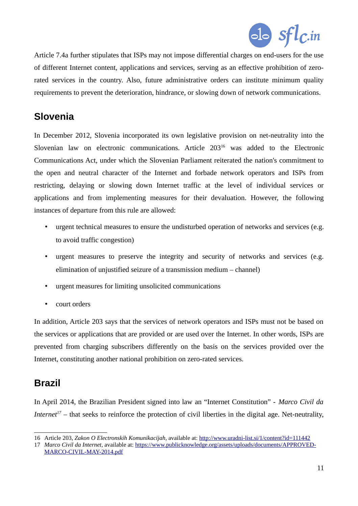

Article 7.4a further stipulates that ISPs may not impose differential charges on end-users for the use of different Internet content, applications and services, serving as an effective prohibition of zerorated services in the country. Also, future administrative orders can institute minimum quality requirements to prevent the deterioration, hindrance, or slowing down of network communications.

# **Slovenia**

In December 2012, Slovenia incorporated its own legislative provision on net-neutrality into the Slovenian law on electronic communications. Article 203[16](#page-10-0) was added to the Electronic Communications Act, under which the Slovenian Parliament reiterated the nation's commitment to the open and neutral character of the Internet and forbade network operators and ISPs from restricting, delaying or slowing down Internet traffic at the level of individual services or applications and from implementing measures for their devaluation. However, the following instances of departure from this rule are allowed:

- urgent technical measures to ensure the undisturbed operation of networks and services (e.g. to avoid traffic congestion)
- urgent measures to preserve the integrity and security of networks and services (e.g. elimination of unjustified seizure of a transmission medium – channel)
- urgent measures for limiting unsolicited communications
- court orders

In addition, Article 203 says that the services of network operators and ISPs must not be based on the services or applications that are provided or are used over the Internet. In other words, ISPs are prevented from charging subscribers differently on the basis on the services provided over the Internet, constituting another national prohibition on zero-rated services.

### **Brazil**

In April 2014, the Brazilian President signed into law an "Internet Constitution" - *Marco Civil da Internet[17](#page-10-1)* – that seeks to reinforce the protection of civil liberties in the digital age. Net-neutrality,

<span id="page-10-0"></span><sup>16</sup> Article 203, *Zakon O Electronskih Komunikacijah*, available at:<http://www.uradni-list.si/1/content?id=111442>

<span id="page-10-1"></span><sup>17</sup> *Marco Civil da Internet*, available at: [https://www.publicknowledge.org/assets/uploads/documents/APPROVED-](https://www.publicknowledge.org/assets/uploads/documents/APPROVED-MARCO-CIVIL-MAY-2014.pdf)[MARCO-CIVIL-MAY-2014.pdf](https://www.publicknowledge.org/assets/uploads/documents/APPROVED-MARCO-CIVIL-MAY-2014.pdf)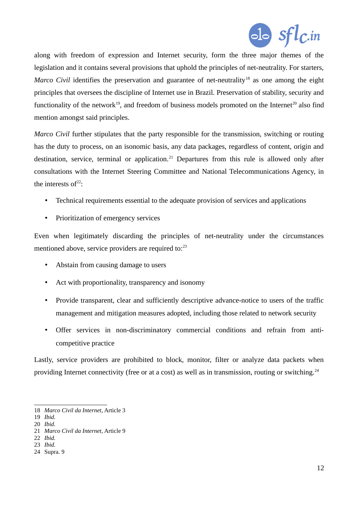

along with freedom of expression and Internet security, form the three major themes of the legislation and it contains several provisions that uphold the principles of net-neutrality. For starters, *Marco Civil* identifies the preservation and guarantee of net-neutrality<sup>[18](#page-11-0)</sup> as one among the eight principles that oversees the discipline of Internet use in Brazil. Preservation of stability, security and functionality of the network<sup>[19](#page-11-1)</sup>, and freedom of business models promoted on the Internet<sup>[20](#page-11-2)</sup> also find mention amongst said principles.

*Marco Civil further stipulates that the party responsible for the transmission, switching or routing* has the duty to process, on an isonomic basis, any data packages, regardless of content, origin and destination, service, terminal or application.<sup>[21](#page-11-3)</sup> Departures from this rule is allowed only after consultations with the Internet Steering Committee and National Telecommunications Agency, in the interests of $22$ :

- Technical requirements essential to the adequate provision of services and applications
- Prioritization of emergency services

Even when legitimately discarding the principles of net-neutrality under the circumstances mentioned above, service providers are required to: $^{23}$  $^{23}$  $^{23}$ 

- Abstain from causing damage to users
- Act with proportionality, transparency and isonomy
- Provide transparent, clear and sufficiently descriptive advance-notice to users of the traffic management and mitigation measures adopted, including those related to network security
- Offer services in non-discriminatory commercial conditions and refrain from anticompetitive practice

Lastly, service providers are prohibited to block, monitor, filter or analyze data packets when providing Internet connectivity (free or at a cost) as well as in transmission, routing or switching.<sup>[24](#page-11-6)</sup>

<span id="page-11-0"></span><sup>18</sup> *Marco Civil da Internet*, Article 3

<span id="page-11-1"></span><sup>19</sup> *Ibid.*

<span id="page-11-2"></span><sup>20</sup> *Ibid.*

<span id="page-11-3"></span><sup>21</sup> *Marco Civil da Internet*, Article 9

<span id="page-11-4"></span><sup>22</sup> *Ibid.*

<span id="page-11-5"></span><sup>23</sup> *Ibid.*

<span id="page-11-6"></span><sup>24</sup> Supra. 9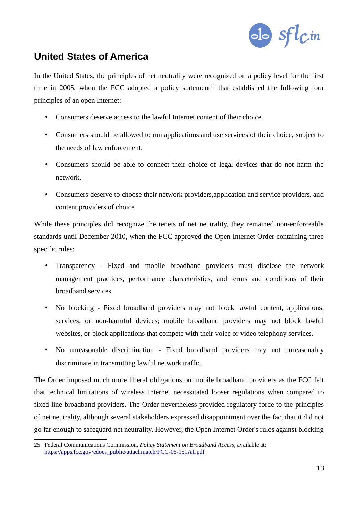

# **United States of America**

In the United States, the principles of net neutrality were recognized on a policy level for the first time in 2005, when the FCC adopted a policy statement<sup>[25](#page-12-0)</sup> that established the following four principles of an open Internet:

- Consumers deserve access to the lawful Internet content of their choice.
- Consumers should be allowed to run applications and use services of their choice, subject to the needs of law enforcement.
- Consumers should be able to connect their choice of legal devices that do not harm the network.
- Consumers deserve to choose their network providers,application and service providers, and content providers of choice

While these principles did recognize the tenets of net neutrality, they remained non-enforceable standards until December 2010, when the FCC approved the Open Internet Order containing three specific rules:

- Transparency **-** Fixed and mobile broadband providers must disclose the network management practices, performance characteristics, and terms and conditions of their broadband services
- No blocking Fixed broadband providers may not block lawful content, applications, services, or non-harmful devices; mobile broadband providers may not block lawful websites, or block applications that compete with their voice or video telephony services.
- No unreasonable discrimination Fixed broadband providers may not unreasonably discriminate in transmitting lawful network traffic.

The Order imposed much more liberal obligations on mobile broadband providers as the FCC felt that technical limitations of wireless Internet necessitated looser regulations when compared to fixed-line broadband providers. The Order nevertheless provided regulatory force to the principles of net neutrality, although several stakeholders expressed disappointment over the fact that it did not go far enough to safeguard net neutrality. However, the Open Internet Order's rules against blocking

<span id="page-12-0"></span><sup>25</sup> Federal Communications Commission, *Policy Statement on Broadband Access*, available at: [https://apps.fcc.gov/edocs\\_public/attachmatch/FCC-05-151A1.pdf](https://apps.fcc.gov/edocs_public/attachmatch/FCC-05-151A1.pdf)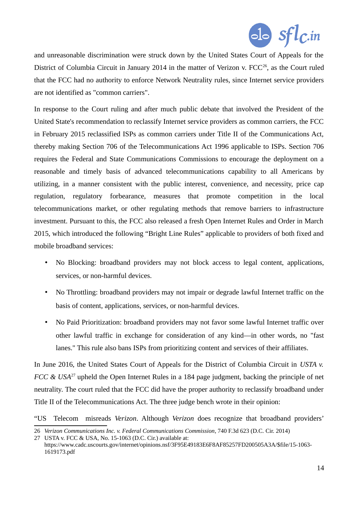

and unreasonable discrimination were struck down by the United States Court of Appeals for the District of Columbia Circuit in January 2014 in the matter of Verizon v.  $FCC^{26}$  $FCC^{26}$  $FCC^{26}$ , as the Court ruled that the FCC had no authority to enforce Network Neutrality rules, since Internet service providers are not identified as "common carriers".

In response to the Court ruling and after much public debate that involved the President of the United State's recommendation to reclassify Internet service providers as common carriers, the FCC in February 2015 reclassified ISPs as common carriers under Title II of the Communications Act, thereby making Section 706 of the Telecommunications Act 1996 applicable to ISPs. Section 706 requires the Federal and State Communications Commissions to encourage the deployment on a reasonable and timely basis of advanced telecommunications capability to all Americans by utilizing, in a manner consistent with the public interest, convenience, and necessity, price cap regulation, regulatory forbearance, measures that promote competition in the local telecommunications market, or other regulating methods that remove barriers to infrastructure investment. Pursuant to this, the FCC also released a fresh Open Internet Rules and Order in March 2015, which introduced the following "Bright Line Rules" applicable to providers of both fixed and mobile broadband services:

- No Blocking: broadband providers may not block access to legal content, applications, services, or non-harmful devices.
- No Throttling: broadband providers may not impair or degrade lawful Internet traffic on the basis of content, applications, services, or non-harmful devices.
- No Paid Prioritization: broadband providers may not favor some lawful Internet traffic over other lawful traffic in exchange for consideration of any kind—in other words, no "fast lanes." This rule also bans ISPs from prioritizing content and services of their affiliates.

In June 2016, the United States Court of Appeals for the District of Columbia Circuit in *USTA v. FCC & USA*<sup>[27](#page-13-1)</sup> upheld the Open Internet Rules in a 184 page judgment, backing the principle of net neutrality. The court ruled that the FCC did have the proper authority to reclassify broadband under Title II of the Telecommunications Act. The three judge bench wrote in their opinion:

"US Telecom misreads *Verizon*. Although *Verizon* does recognize that broadband providers'

<span id="page-13-0"></span><sup>26</sup> *Verizon Communications Inc. v. Federal Communications Commission*, 740 F.3d 623 (D.C. Cir. 2014)

<span id="page-13-1"></span><sup>27</sup> USTA v. FCC & USA, No. 15-1063 (D.C. Cir.) available at:

https://www.cadc.uscourts.gov/internet/opinions.nsf/3F95E49183E6F8AF85257FD200505A3A/\$file/15-1063- 1619173.pdf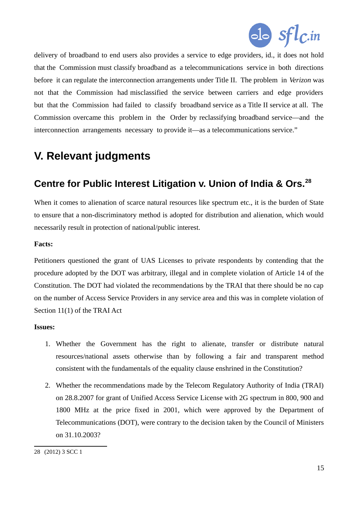

delivery of broadband to end users also provides a service to edge providers, id., it does not hold that the Commission must classify broadband as a telecommunications service in both directions before it can regulate the interconnection arrangements under Title II. The problem in *Verizon* was not that the Commission had misclassified the service between carriers and edge providers but that the Commission had failed to classify broadband service as a Title II service at all. The Commission overcame this problem in the Order by reclassifying broadband service—and the interconnection arrangements necessary to provide it—as a telecommunications service."

# **V. Relevant judgments**

### **Centre for Public Interest Litigation v. Union of India & Ors.[28](#page-14-0)**

When it comes to alienation of scarce natural resources like spectrum etc., it is the burden of State to ensure that a non-discriminatory method is adopted for distribution and alienation, which would necessarily result in protection of national/public interest.

### **Facts:**

Petitioners questioned the grant of UAS Licenses to private respondents by contending that the procedure adopted by the DOT was arbitrary, illegal and in complete violation of Article 14 of the Constitution. The DOT had violated the recommendations by the TRAI that there should be no cap on the number of Access Service Providers in any service area and this was in complete violation of Section 11(1) of the TRAI Act

#### **Issues:**

- 1. Whether the Government has the right to alienate, transfer or distribute natural resources/national assets otherwise than by following a fair and transparent method consistent with the fundamentals of the equality clause enshrined in the Constitution?
- 2. Whether the recommendations made by the Telecom Regulatory Authority of India (TRAI) on 28.8.2007 for grant of Unified Access Service License with 2G spectrum in 800, 900 and 1800 MHz at the price fixed in 2001, which were approved by the Department of Telecommunications (DOT), were contrary to the decision taken by the Council of Ministers on 31.10.2003?

<span id="page-14-0"></span><sup>28</sup> (2012) 3 SCC 1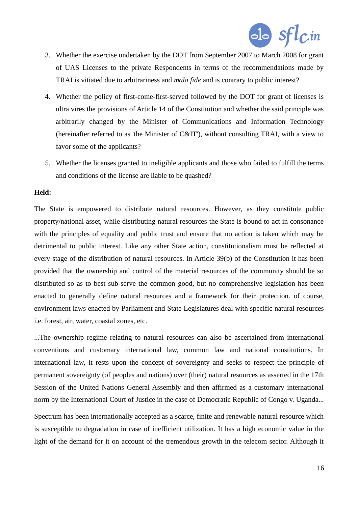

- 3. Whether the exercise undertaken by the DOT from September 2007 to March 2008 for grant of UAS Licenses to the private Respondents in terms of the recommendations made by TRAI is vitiated due to arbitrariness and *mala fide* and is contrary to public interest?
- 4. Whether the policy of first-come-first-served followed by the DOT for grant of licenses is ultra vires the provisions of Article 14 of the Constitution and whether the said principle was arbitrarily changed by the Minister of Communications and Information Technology (hereinafter referred to as 'the Minister of C&IT'), without consulting TRAI, with a view to favor some of the applicants?
- 5. Whether the licenses granted to ineligible applicants and those who failed to fulfill the terms and conditions of the license are liable to be quashed?

#### **Held:**

The State is empowered to distribute natural resources. However, as they constitute public property/national asset, while distributing natural resources the State is bound to act in consonance with the principles of equality and public trust and ensure that no action is taken which may be detrimental to public interest. Like any other State action, constitutionalism must be reflected at every stage of the distribution of natural resources. In Article 39(b) of the Constitution it has been provided that the ownership and control of the material resources of the community should be so distributed so as to best sub-serve the common good, but no comprehensive legislation has been enacted to generally define natural resources and a framework for their protection. of course, environment laws enacted by Parliament and State Legislatures deal with specific natural resources i.e. forest, air, water, coastal zones, etc.

...The ownership regime relating to natural resources can also be ascertained from international conventions and customary international law, common law and national constitutions. In international law, it rests upon the concept of sovereignty and seeks to respect the principle of permanent sovereignty (of peoples and nations) over (their) natural resources as asserted in the 17th Session of the United Nations General Assembly and then affirmed as a customary international norm by the International Court of Justice in the case of Democratic Republic of Congo v. Uganda...

Spectrum has been internationally accepted as a scarce, finite and renewable natural resource which is susceptible to degradation in case of inefficient utilization. It has a high economic value in the light of the demand for it on account of the tremendous growth in the telecom sector. Although it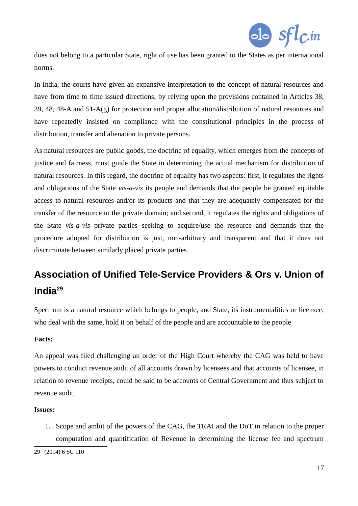

does not belong to a particular State, right of use has been granted to the States as per international norms.

In India, the courts have given an expansive interpretation to the concept of natural resources and have from time to time issued directions, by relying upon the provisions contained in Articles 38, 39, 48, 48-A and 51-A(g) for protection and proper allocation/distribution of natural resources and have repeatedly insisted on compliance with the constitutional principles in the process of distribution, transfer and alienation to private persons.

As natural resources are public goods, the doctrine of equality, which emerges from the concepts of justice and fairness, must guide the State in determining the actual mechanism for distribution of natural resources. In this regard, the doctrine of equality has two aspects: first, it regulates the rights and obligations of the State *vis-a-vis* its people and demands that the people be granted equitable access to natural resources and/or its products and that they are adequately compensated for the transfer of the resource to the private domain; and second, it regulates the rights and obligations of the State *vis-a-vis* private parties seeking to acquire/use the resource and demands that the procedure adopted for distribution is just, non-arbitrary and transparent and that it does not discriminate between similarly placed private parties.

# **Association of Unified Tele-Service Providers & Ors v. Union of India[29](#page-16-0)**

Spectrum is a natural resource which belongs to people, and State, its instrumentalities or licensee, who deal with the same, hold it on behalf of the people and are accountable to the people

### **Facts:**

An appeal was filed challenging an order of the High Court whereby the CAG was held to have powers to conduct revenue audit of all accounts drawn by licensees and that accounts of licensee, in relation to revenue receipts, could be said to be accounts of Central Government and thus subject to revenue audit.

#### **Issues:**

1. Scope and ambit of the powers of the CAG, the TRAI and the DoT in relation to the proper computation and quantification of Revenue in determining the license fee and spectrum

<span id="page-16-0"></span><sup>29</sup> (2014) 6 SC 110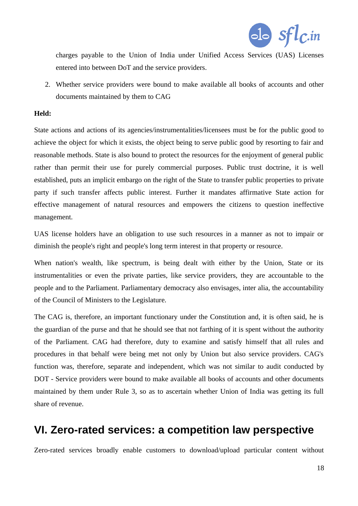

charges payable to the Union of India under Unified Access Services (UAS) Licenses entered into between DoT and the service providers.

2. Whether service providers were bound to make available all books of accounts and other documents maintained by them to CAG

#### **Held:**

State actions and actions of its agencies/instrumentalities/licensees must be for the public good to achieve the object for which it exists, the object being to serve public good by resorting to fair and reasonable methods. State is also bound to protect the resources for the enjoyment of general public rather than permit their use for purely commercial purposes. Public trust doctrine, it is well established, puts an implicit embargo on the right of the State to transfer public properties to private party if such transfer affects public interest. Further it mandates affirmative State action for effective management of natural resources and empowers the citizens to question ineffective management.

UAS license holders have an obligation to use such resources in a manner as not to impair or diminish the people's right and people's long term interest in that property or resource.

When nation's wealth, like spectrum, is being dealt with either by the Union, State or its instrumentalities or even the private parties, like service providers, they are accountable to the people and to the Parliament. Parliamentary democracy also envisages, inter alia, the accountability of the Council of Ministers to the Legislature.

The CAG is, therefore, an important functionary under the Constitution and, it is often said, he is the guardian of the purse and that he should see that not farthing of it is spent without the authority of the Parliament. CAG had therefore, duty to examine and satisfy himself that all rules and procedures in that behalf were being met not only by Union but also service providers. CAG's function was, therefore, separate and independent, which was not similar to audit conducted by DOT - Service providers were bound to make available all books of accounts and other documents maintained by them under Rule 3, so as to ascertain whether Union of India was getting its full share of revenue.

# **VI. Zero-rated services: a competition law perspective**

Zero-rated services broadly enable customers to download/upload particular content without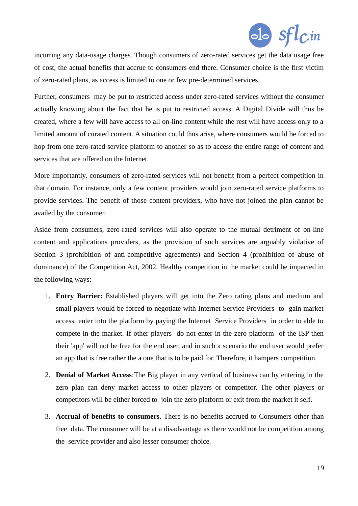

incurring any data-usage charges. Though consumers of zero-rated services get the data usage free of cost, the actual benefits that accrue to consumers end there. Consumer choice is the first victim of zero-rated plans, as access is limited to one or few pre-determined services.

Further, consumers may be put to restricted access under zero-rated services without the consumer actually knowing about the fact that he is put to restricted access. A Digital Divide will thus be created, where a few will have access to all on-line content while the rest will have access only to a limited amount of curated content. A situation could thus arise, where consumers would be forced to hop from one zero-rated service platform to another so as to access the entire range of content and services that are offered on the Internet.

More importantly, consumers of zero-rated services will not benefit from a perfect competition in that domain. For instance, only a few content providers would join zero-rated service platforms to provide services. The benefit of those content providers, who have not joined the plan cannot be availed by the consumer.

Aside from consumers, zero-rated services will also operate to the mutual detriment of on-line content and applications providers, as the provision of such services are arguably violative of Section 3 (prohibition of anti-competitive agreements) and Section 4 (prohibition of abuse of dominance) of the Competition Act, 2002. Healthy competition in the market could be impacted in the following ways:

- 1. **Entry Barrier:** Established players will get into the Zero rating plans and medium and small players would be forced to negotiate with Internet Service Providers to gain market access enter into the platform by paying the Internet Service Providers in order to able to compete in the market. If other players do not enter in the zero platform of the ISP then their 'app' will not be free for the end user, and in such a scenario the end user would prefer an app that is free rather the a one that is to be paid for. Therefore, it hampers competition.
- 2. **Denial of Market Access**:The Big player in any vertical of business can by entering in the zero plan can deny market access to other players or competitor. The other players or competitors will be either forced to join the zero platform or exit from the market it self.
- 3. **Accrual of benefits to consumers**. There is no benefits accrued to Consumers other than free data. The consumer will be at a disadvantage as there would not be competition among the service provider and also lesser consumer choice.